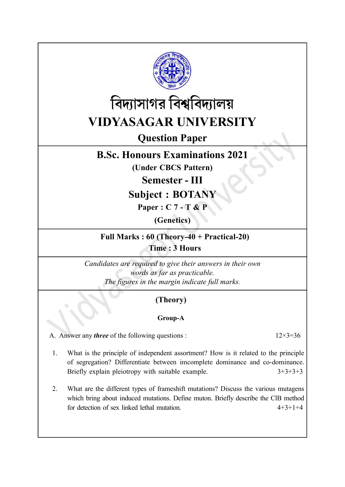



# Question Paper

## B.Sc. Honours Examinations 2021

(Under CBCS Pattern)

Semester - III

Subject : BOTANY

Paper : C 7 - T & P

(Genetics)

Full Marks : 60 (Theory-40 + Practical-20) Time : 3 Hours

Candidates are required to give their answers in their own words as far as practicable. The figures in the margin indicate full marks.

### (Theory)

#### Group-A

A. Answer any *three* of the following questions :  $12 \times 3 = 36$ 

- 1. What is the principle of independent assortment? How is it related to the principle of segregation? Differentiate between imcomplete dominance and co-dominance. Briefly explain pleiotropy with suitable example.  $3+3+3+3$
- 2. What are the different types of frameshift mutations? Discuss the various mutagens which bring about induced mutations. Define muton. Briefly describe the ClB method for detection of sex linked lethal mutation. 4+3+1+4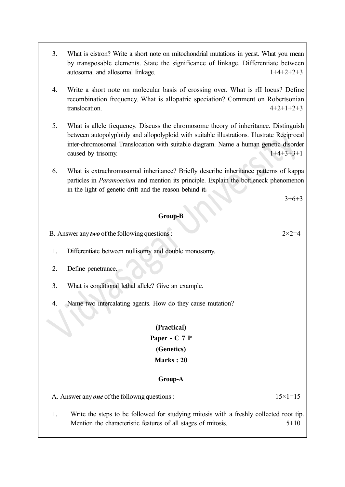- 3. What is cistron? Write a short note on mitochondrial mutations in yeast. What you mean by transposable elements. State the significance of linkage. Differentiate between autosomal and allosomal linkage. 1+4+2+2+3
- 4. Write a short note on molecular basis of crossing over. What is rII locus? Define recombination frequency. What is allopatric speciation? Comment on Robertsonian translocation.  $4+2+1+2+3$
- 5. What is allele frequency. Discuss the chromosome theory of inheritance. Distinguish between autopolyploidy and allopolyploid with suitable illustrations. Illustrate Reciprocal inter-chromosomal Translocation with suitable diagram. Name a human genetic disorder caused by trisomy.  $1+4+3+3+1$
- 6. What is extrachromosomal inheritance? Briefly describe inheritance patterns of kappa particles in Paramoecium and mention its principle. Explain the bottleneck phenomenon in the light of genetic drift and the reason behind it.

 $3+6+3$ 

#### Group-B

B. Answer any *two* of the following questions :  $2 \times 2 = 4$ 

- 1. Differentiate between nullisomy and double monosomy.
- 2. Define penetrance.
- 3. What is conditional lethal allele? Give an example.
- 4. Name two intercalating agents. How do they cause mutation?

### (Practical) Paper - C 7 P (Genetics) Marks : 20

#### Group-A

A. Answer any **one** of the followng questions :  $15 \times 1 = 15$ 

- 
- 1. Write the steps to be followed for studying mitosis with a freshly collected root tip. Mention the characteristic features of all stages of mitosis.  $5+10$